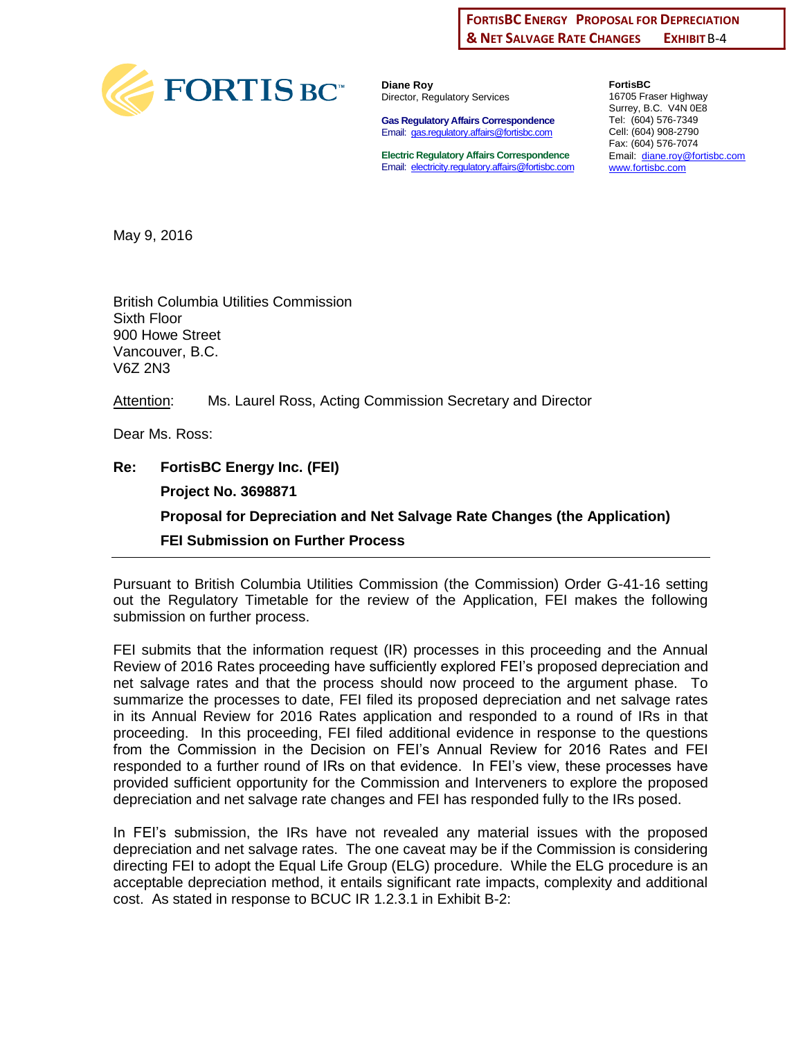## **FXHIRIT B-4 FORTISBC ENERGY PROPOSAL FOR DEPRECIATION & NET SALVAGE RATE CHANGES**



**Diane Roy** Director, Regulatory Services

**Gas Regulatory Affairs Correspondence** Email: [gas.regulatory.affairs@fortisbc.com](mailto:gas.regulatory.affairs@fortisbc.com)

**Electric Regulatory Affairs Correspondence** Email: [electricity.regulatory.affairs@fortisbc.com](mailto:electricity.regulatory.affairs@fortisbc.com)

**FortisBC**  16705 Fraser Highway Surrey, B.C. V4N 0E8 Tel: (604) 576-7349 Cell: (604) 908-2790 Fax: (604) 576-7074 Email: [diane.roy@fortisbc.com](mailto:diane.roy@fortisbc.com)  [www.fortisbc.com](http://www.fortisbc.com/)

May 9, 2016

British Columbia Utilities Commission Sixth Floor 900 Howe Street Vancouver, B.C. V6Z 2N3

Attention: Ms. Laurel Ross, Acting Commission Secretary and Director

Dear Ms. Ross:

**Re: FortisBC Energy Inc. (FEI) Project No. 3698871 Proposal for Depreciation and Net Salvage Rate Changes (the Application) FEI Submission on Further Process** 

Pursuant to British Columbia Utilities Commission (the Commission) Order G-41-16 setting out the Regulatory Timetable for the review of the Application, FEI makes the following submission on further process.

FEI submits that the information request (IR) processes in this proceeding and the Annual Review of 2016 Rates proceeding have sufficiently explored FEI's proposed depreciation and net salvage rates and that the process should now proceed to the argument phase. To summarize the processes to date, FEI filed its proposed depreciation and net salvage rates in its Annual Review for 2016 Rates application and responded to a round of IRs in that proceeding. In this proceeding, FEI filed additional evidence in response to the questions from the Commission in the Decision on FEI's Annual Review for 2016 Rates and FEI responded to a further round of IRs on that evidence. In FEI's view, these processes have provided sufficient opportunity for the Commission and Interveners to explore the proposed depreciation and net salvage rate changes and FEI has responded fully to the IRs posed.

In FEI's submission, the IRs have not revealed any material issues with the proposed depreciation and net salvage rates. The one caveat may be if the Commission is considering directing FEI to adopt the Equal Life Group (ELG) procedure. While the ELG procedure is an acceptable depreciation method, it entails significant rate impacts, complexity and additional cost. As stated in response to BCUC IR 1.2.3.1 in Exhibit B-2: